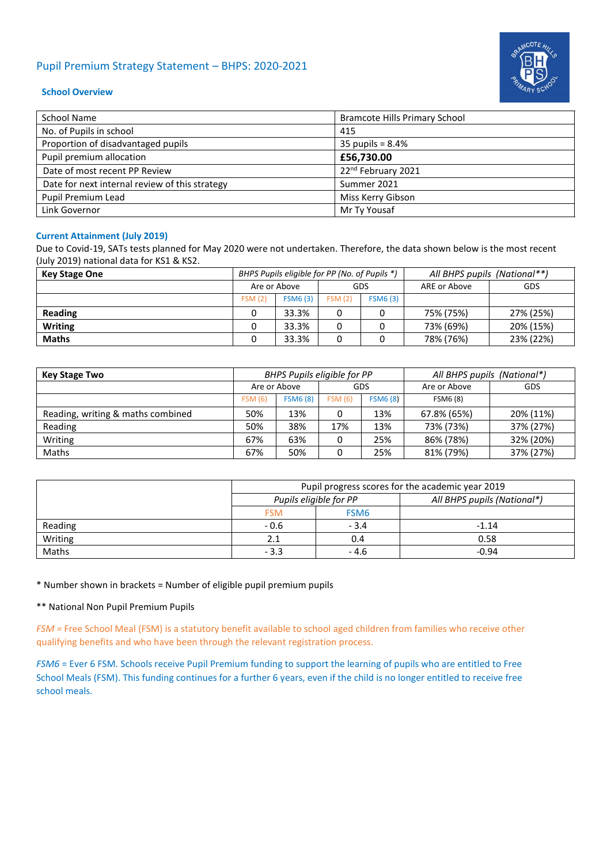# Pupil Premium Strategy Statement – BHPS: 2020-2021



### **School Overview**

| School Name                                    | <b>Bramcote Hills Primary School</b> |
|------------------------------------------------|--------------------------------------|
| No. of Pupils in school                        | 415                                  |
| Proportion of disadvantaged pupils             | 35 pupils = $8.4\%$                  |
| Pupil premium allocation                       | £56,730.00                           |
| Date of most recent PP Review                  | 22 <sup>nd</sup> February 2021       |
| Date for next internal review of this strategy | Summer 2021                          |
| Pupil Premium Lead                             | Miss Kerry Gibson                    |
| Link Governor                                  | Mr Ty Yousaf                         |

### **Current Attainment (July 2019)**

Due to Covid-19, SATs tests planned for May 2020 were not undertaken. Therefore, the data shown below is the most recent (July 2019) national data for KS1 & KS2.

| <b>Key Stage One</b> | BHPS Pupils eligible for PP (No. of Pupils *) |                |        |                 | All BHPS pupils (National**) |           |  |
|----------------------|-----------------------------------------------|----------------|--------|-----------------|------------------------------|-----------|--|
|                      | Are or Above<br>GDS                           |                |        | ARE or Above    | GDS                          |           |  |
|                      | <b>FSM (2)</b>                                | <b>FSM6(3)</b> | FSM(2) | <b>FSM6 (3)</b> |                              |           |  |
| Reading              |                                               | 33.3%          |        |                 | 75% (75%)                    | 27% (25%) |  |
| <b>Writing</b>       |                                               | 33.3%          |        |                 | 73% (69%)                    | 20% (15%) |  |
| <b>Maths</b>         |                                               | 33.3%          | 0      |                 | 78% (76%)                    | 23% (22%) |  |

| Key Stage Two                     | BHPS Pupils eligible for PP |                 |                |                 | All BHPS pupils (National*) |           |  |
|-----------------------------------|-----------------------------|-----------------|----------------|-----------------|-----------------------------|-----------|--|
|                                   | Are or Above<br>GDS         |                 | Are or Above   | GDS             |                             |           |  |
|                                   | <b>FSM (6)</b>              | <b>FSM6 (8)</b> | <b>FSM (6)</b> | <b>FSM6 (8)</b> | FSM6 (8)                    |           |  |
| Reading, writing & maths combined | 50%                         | 13%             | 0              | 13%             | 67.8% (65%)                 | 20% (11%) |  |
| Reading                           | 50%                         | 38%             | 17%            | 13%             | 73% (73%)                   | 37% (27%) |  |
| Writing                           | 67%                         | 63%             | 0              | 25%             | 86% (78%)                   | 32% (20%) |  |
| Maths                             | 67%                         | 50%             | 0              | 25%             | 81% (79%)                   | 37% (27%) |  |

|         | Pupil progress scores for the academic year 2019 |                        |                             |  |  |  |
|---------|--------------------------------------------------|------------------------|-----------------------------|--|--|--|
|         |                                                  | Pupils eligible for PP | All BHPS pupils (National*) |  |  |  |
|         | <b>FSM</b>                                       | FSM <sub>6</sub>       |                             |  |  |  |
| Reading | $-0.6$                                           | $-3.4$                 | $-1.14$                     |  |  |  |
| Writing | 2.1                                              | 0.4                    | 0.58                        |  |  |  |
| Maths   | $-3.3$                                           | - 4.6                  | $-0.94$                     |  |  |  |

### \* Number shown in brackets = Number of eligible pupil premium pupils

\*\* National Non Pupil Premium Pupils

*FSM =* Free School Meal (FSM) is a statutory benefit available to school aged children from families who receive other qualifying benefits and who have been through the relevant registration process.

*FSM6* = Ever 6 FSM. Schools receive Pupil Premium funding to support the learning of pupils who are entitled to Free School Meals (FSM). This funding continues for a further 6 years, even if the child is no longer entitled to receive free school meals.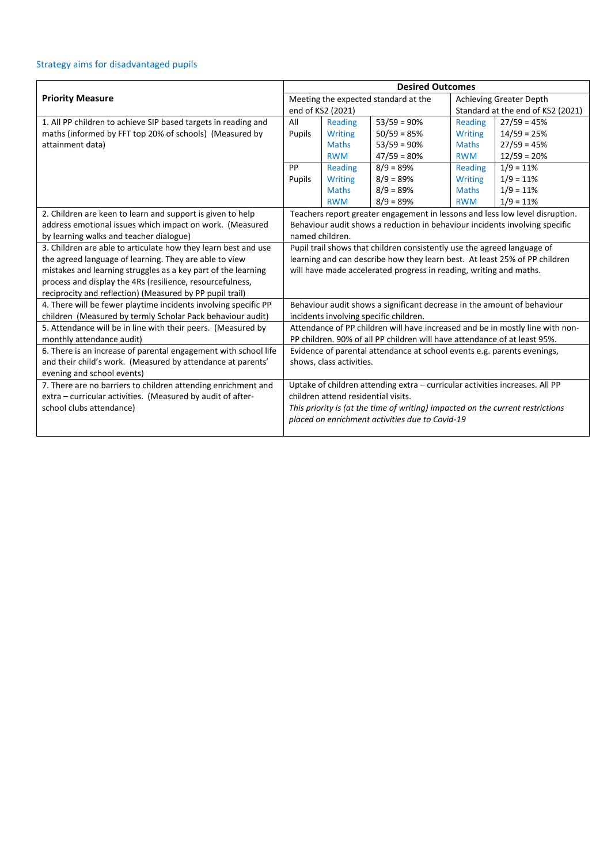# Strategy aims for disadvantaged pupils

|                                                                 | <b>Desired Outcomes</b>                                                      |                                      |                                                                                |                                   |                                                                               |  |
|-----------------------------------------------------------------|------------------------------------------------------------------------------|--------------------------------------|--------------------------------------------------------------------------------|-----------------------------------|-------------------------------------------------------------------------------|--|
| <b>Priority Measure</b>                                         |                                                                              | Meeting the expected standard at the |                                                                                |                                   | <b>Achieving Greater Depth</b>                                                |  |
|                                                                 |                                                                              | end of KS2 (2021)                    |                                                                                | Standard at the end of KS2 (2021) |                                                                               |  |
| 1. All PP children to achieve SIP based targets in reading and  | All                                                                          | Reading                              | $53/59 = 90\%$                                                                 | Reading                           | $27/59 = 45%$                                                                 |  |
| maths (informed by FFT top 20% of schools) (Measured by         | Pupils                                                                       | <b>Writing</b>                       | $50/59 = 85%$                                                                  | <b>Writing</b>                    | $14/59 = 25%$                                                                 |  |
| attainment data)                                                |                                                                              | <b>Maths</b>                         | $53/59 = 90%$                                                                  | <b>Maths</b>                      | $27/59 = 45%$                                                                 |  |
|                                                                 |                                                                              | <b>RWM</b>                           | $47/59 = 80%$                                                                  | <b>RWM</b>                        | $12/59 = 20%$                                                                 |  |
|                                                                 | PP                                                                           | Reading                              | $8/9 = 89%$                                                                    | Reading                           | $1/9 = 11%$                                                                   |  |
|                                                                 | Pupils                                                                       | <b>Writing</b>                       | $8/9 = 89%$                                                                    | <b>Writing</b>                    | $1/9 = 11%$                                                                   |  |
|                                                                 |                                                                              | <b>Maths</b>                         | $8/9 = 89%$                                                                    | <b>Maths</b>                      | $1/9 = 11%$                                                                   |  |
|                                                                 |                                                                              | <b>RWM</b>                           | $8/9 = 89%$                                                                    | <b>RWM</b>                        | $1/9 = 11%$                                                                   |  |
| 2. Children are keen to learn and support is given to help      |                                                                              |                                      |                                                                                |                                   | Teachers report greater engagement in lessons and less low level disruption.  |  |
| address emotional issues which impact on work. (Measured        | Behaviour audit shows a reduction in behaviour incidents involving specific  |                                      |                                                                                |                                   |                                                                               |  |
| by learning walks and teacher dialogue)                         | named children.                                                              |                                      |                                                                                |                                   |                                                                               |  |
| 3. Children are able to articulate how they learn best and use  |                                                                              |                                      | Pupil trail shows that children consistently use the agreed language of        |                                   |                                                                               |  |
| the agreed language of learning. They are able to view          |                                                                              |                                      | learning and can describe how they learn best. At least 25% of PP children     |                                   |                                                                               |  |
| mistakes and learning struggles as a key part of the learning   |                                                                              |                                      | will have made accelerated progress in reading, writing and maths.             |                                   |                                                                               |  |
| process and display the 4Rs (resilience, resourcefulness,       |                                                                              |                                      |                                                                                |                                   |                                                                               |  |
| reciprocity and reflection) (Measured by PP pupil trail)        |                                                                              |                                      |                                                                                |                                   |                                                                               |  |
| 4. There will be fewer playtime incidents involving specific PP |                                                                              |                                      | Behaviour audit shows a significant decrease in the amount of behaviour        |                                   |                                                                               |  |
| children (Measured by termly Scholar Pack behaviour audit)      |                                                                              |                                      | incidents involving specific children.                                         |                                   |                                                                               |  |
| 5. Attendance will be in line with their peers. (Measured by    |                                                                              |                                      |                                                                                |                                   | Attendance of PP children will have increased and be in mostly line with non- |  |
| monthly attendance audit)                                       |                                                                              |                                      | PP children. 90% of all PP children will have attendance of at least 95%.      |                                   |                                                                               |  |
| 6. There is an increase of parental engagement with school life |                                                                              |                                      | Evidence of parental attendance at school events e.g. parents evenings,        |                                   |                                                                               |  |
| and their child's work. (Measured by attendance at parents'     | shows, class activities.                                                     |                                      |                                                                                |                                   |                                                                               |  |
| evening and school events)                                      |                                                                              |                                      |                                                                                |                                   |                                                                               |  |
| 7. There are no barriers to children attending enrichment and   | Uptake of children attending extra - curricular activities increases. All PP |                                      |                                                                                |                                   |                                                                               |  |
| extra - curricular activities. (Measured by audit of after-     | children attend residential visits.                                          |                                      |                                                                                |                                   |                                                                               |  |
| school clubs attendance)                                        |                                                                              |                                      | This priority is (at the time of writing) impacted on the current restrictions |                                   |                                                                               |  |
|                                                                 |                                                                              |                                      | placed on enrichment activities due to Covid-19                                |                                   |                                                                               |  |
|                                                                 |                                                                              |                                      |                                                                                |                                   |                                                                               |  |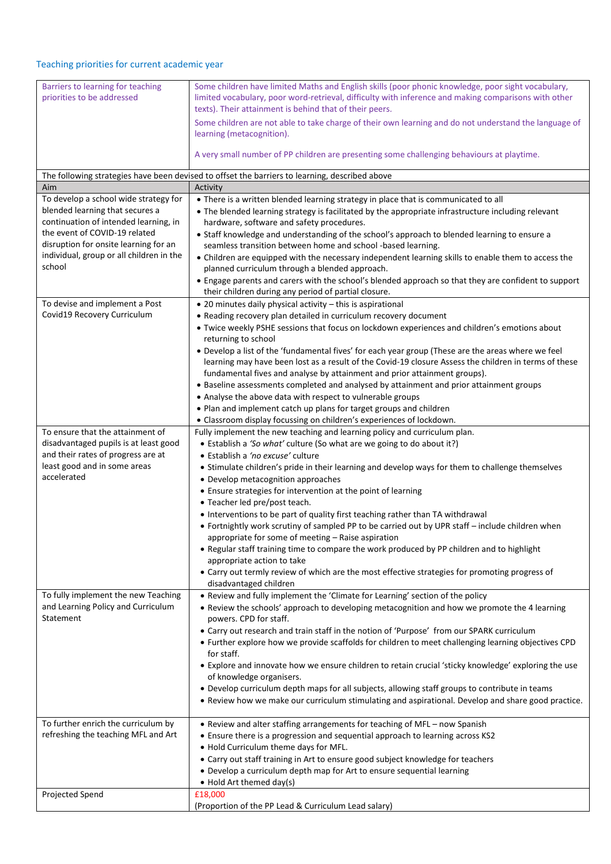# Teaching priorities for current academic year

| Barriers to learning for teaching<br>priorities to be addressed        | Some children have limited Maths and English skills (poor phonic knowledge, poor sight vocabulary,<br>limited vocabulary, poor word-retrieval, difficulty with inference and making comparisons with other |
|------------------------------------------------------------------------|------------------------------------------------------------------------------------------------------------------------------------------------------------------------------------------------------------|
|                                                                        | texts). Their attainment is behind that of their peers.                                                                                                                                                    |
|                                                                        | Some children are not able to take charge of their own learning and do not understand the language of<br>learning (metacognition).                                                                         |
|                                                                        | A very small number of PP children are presenting some challenging behaviours at playtime.                                                                                                                 |
|                                                                        | The following strategies have been devised to offset the barriers to learning, described above                                                                                                             |
| Aim                                                                    | Activity                                                                                                                                                                                                   |
| To develop a school wide strategy for                                  | • There is a written blended learning strategy in place that is communicated to all                                                                                                                        |
| blended learning that secures a                                        | • The blended learning strategy is facilitated by the appropriate infrastructure including relevant                                                                                                        |
| continuation of intended learning, in<br>the event of COVID-19 related | hardware, software and safety procedures.                                                                                                                                                                  |
| disruption for onsite learning for an                                  | • Staff knowledge and understanding of the school's approach to blended learning to ensure a                                                                                                               |
| individual, group or all children in the                               | seamless transition between home and school -based learning.                                                                                                                                               |
| school                                                                 | • Children are equipped with the necessary independent learning skills to enable them to access the                                                                                                        |
|                                                                        | planned curriculum through a blended approach.<br>• Engage parents and carers with the school's blended approach so that they are confident to support                                                     |
|                                                                        | their children during any period of partial closure.                                                                                                                                                       |
| To devise and implement a Post                                         | • 20 minutes daily physical activity - this is aspirational                                                                                                                                                |
| Covid19 Recovery Curriculum                                            | • Reading recovery plan detailed in curriculum recovery document                                                                                                                                           |
|                                                                        | . Twice weekly PSHE sessions that focus on lockdown experiences and children's emotions about                                                                                                              |
|                                                                        | returning to school                                                                                                                                                                                        |
|                                                                        | . Develop a list of the 'fundamental fives' for each year group (These are the areas where we feel                                                                                                         |
|                                                                        | learning may have been lost as a result of the Covid-19 closure Assess the children in terms of these                                                                                                      |
|                                                                        | fundamental fives and analyse by attainment and prior attainment groups).                                                                                                                                  |
|                                                                        | • Baseline assessments completed and analysed by attainment and prior attainment groups                                                                                                                    |
|                                                                        | • Analyse the above data with respect to vulnerable groups                                                                                                                                                 |
|                                                                        | • Plan and implement catch up plans for target groups and children                                                                                                                                         |
|                                                                        | • Classroom display focussing on children's experiences of lockdown.                                                                                                                                       |
| To ensure that the attainment of                                       | Fully implement the new teaching and learning policy and curriculum plan.                                                                                                                                  |
| disadvantaged pupils is at least good                                  | • Establish a 'So what' culture (So what are we going to do about it?)                                                                                                                                     |
| and their rates of progress are at<br>least good and in some areas     | · Establish a 'no excuse' culture                                                                                                                                                                          |
| accelerated                                                            | • Stimulate children's pride in their learning and develop ways for them to challenge themselves<br>• Develop metacognition approaches                                                                     |
|                                                                        | • Ensure strategies for intervention at the point of learning                                                                                                                                              |
|                                                                        | • Teacher led pre/post teach.                                                                                                                                                                              |
|                                                                        | • Interventions to be part of quality first teaching rather than TA withdrawal                                                                                                                             |
|                                                                        | • Fortnightly work scrutiny of sampled PP to be carried out by UPR staff - include children when                                                                                                           |
|                                                                        | appropriate for some of meeting $-$ Raise aspiration                                                                                                                                                       |
|                                                                        | . Regular staff training time to compare the work produced by PP children and to highlight                                                                                                                 |
|                                                                        | appropriate action to take                                                                                                                                                                                 |
|                                                                        | • Carry out termly review of which are the most effective strategies for promoting progress of                                                                                                             |
|                                                                        | disadvantaged children                                                                                                                                                                                     |
| To fully implement the new Teaching                                    | . Review and fully implement the 'Climate for Learning' section of the policy                                                                                                                              |
| and Learning Policy and Curriculum<br>Statement                        | • Review the schools' approach to developing metacognition and how we promote the 4 learning                                                                                                               |
|                                                                        | powers. CPD for staff.                                                                                                                                                                                     |
|                                                                        | • Carry out research and train staff in the notion of 'Purpose' from our SPARK curriculum<br>• Further explore how we provide scaffolds for children to meet challenging learning objectives CPD           |
|                                                                        | for staff.                                                                                                                                                                                                 |
|                                                                        | • Explore and innovate how we ensure children to retain crucial 'sticky knowledge' exploring the use                                                                                                       |
|                                                                        | of knowledge organisers.                                                                                                                                                                                   |
|                                                                        | . Develop curriculum depth maps for all subjects, allowing staff groups to contribute in teams                                                                                                             |
|                                                                        | . Review how we make our curriculum stimulating and aspirational. Develop and share good practice.                                                                                                         |
|                                                                        |                                                                                                                                                                                                            |
| To further enrich the curriculum by                                    | • Review and alter staffing arrangements for teaching of MFL - now Spanish                                                                                                                                 |
| refreshing the teaching MFL and Art                                    | • Ensure there is a progression and sequential approach to learning across KS2                                                                                                                             |
|                                                                        | . Hold Curriculum theme days for MFL.                                                                                                                                                                      |
|                                                                        | • Carry out staff training in Art to ensure good subject knowledge for teachers                                                                                                                            |
|                                                                        | • Develop a curriculum depth map for Art to ensure sequential learning                                                                                                                                     |
|                                                                        | $\bullet$ Hold Art themed day(s)                                                                                                                                                                           |
| Projected Spend                                                        | £18,000<br>(Proportion of the PP Lead & Curriculum Lead salary)                                                                                                                                            |
|                                                                        |                                                                                                                                                                                                            |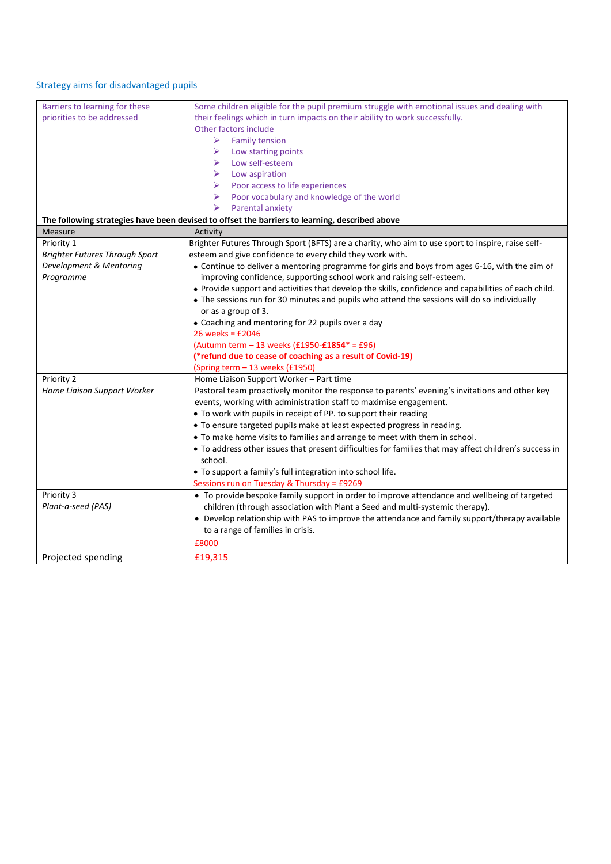# Strategy aims for disadvantaged pupils

| Barriers to learning for these        | Some children eligible for the pupil premium struggle with emotional issues and dealing with           |
|---------------------------------------|--------------------------------------------------------------------------------------------------------|
| priorities to be addressed            | their feelings which in turn impacts on their ability to work successfully.                            |
|                                       | Other factors include                                                                                  |
|                                       | ⋗<br><b>Family tension</b>                                                                             |
|                                       | ➤<br>Low starting points                                                                               |
|                                       | Low self-esteem<br>➤                                                                                   |
|                                       | Low aspiration<br>≻                                                                                    |
|                                       | Poor access to life experiences<br>➤                                                                   |
|                                       | ➤<br>Poor vocabulary and knowledge of the world                                                        |
|                                       | ➤<br>Parental anxiety                                                                                  |
|                                       | The following strategies have been devised to offset the barriers to learning, described above         |
| Measure                               | Activity                                                                                               |
| Priority 1                            | Brighter Futures Through Sport (BFTS) are a charity, who aim to use sport to inspire, raise self-      |
| <b>Brighter Futures Through Sport</b> | esteem and give confidence to every child they work with.                                              |
| Development & Mentoring               | • Continue to deliver a mentoring programme for girls and boys from ages 6-16, with the aim of         |
| Programme                             | improving confidence, supporting school work and raising self-esteem.                                  |
|                                       | • Provide support and activities that develop the skills, confidence and capabilities of each child.   |
|                                       | • The sessions run for 30 minutes and pupils who attend the sessions will do so individually           |
|                                       | or as a group of 3.                                                                                    |
|                                       | • Coaching and mentoring for 22 pupils over a day                                                      |
|                                       | $26$ weeks = £2046                                                                                     |
|                                       | (Autumn term - 13 weeks (£1950-£1854* = £96)                                                           |
|                                       | (*refund due to cease of coaching as a result of Covid-19)                                             |
|                                       | (Spring term - 13 weeks (£1950)                                                                        |
| Priority 2                            | Home Liaison Support Worker - Part time                                                                |
| Home Liaison Support Worker           | Pastoral team proactively monitor the response to parents' evening's invitations and other key         |
|                                       | events, working with administration staff to maximise engagement.                                      |
|                                       | • To work with pupils in receipt of PP. to support their reading                                       |
|                                       | • To ensure targeted pupils make at least expected progress in reading.                                |
|                                       | • To make home visits to families and arrange to meet with them in school.                             |
|                                       | • To address other issues that present difficulties for families that may affect children's success in |
|                                       | school.                                                                                                |
|                                       | • To support a family's full integration into school life.                                             |
|                                       | Sessions run on Tuesday & Thursday = £9269                                                             |
| Priority 3                            | • To provide bespoke family support in order to improve attendance and wellbeing of targeted           |
| Plant-a-seed (PAS)                    | children (through association with Plant a Seed and multi-systemic therapy).                           |
|                                       | • Develop relationship with PAS to improve the attendance and family support/therapy available         |
|                                       | to a range of families in crisis.                                                                      |
|                                       | £8000                                                                                                  |
| Projected spending                    | £19,315                                                                                                |
|                                       |                                                                                                        |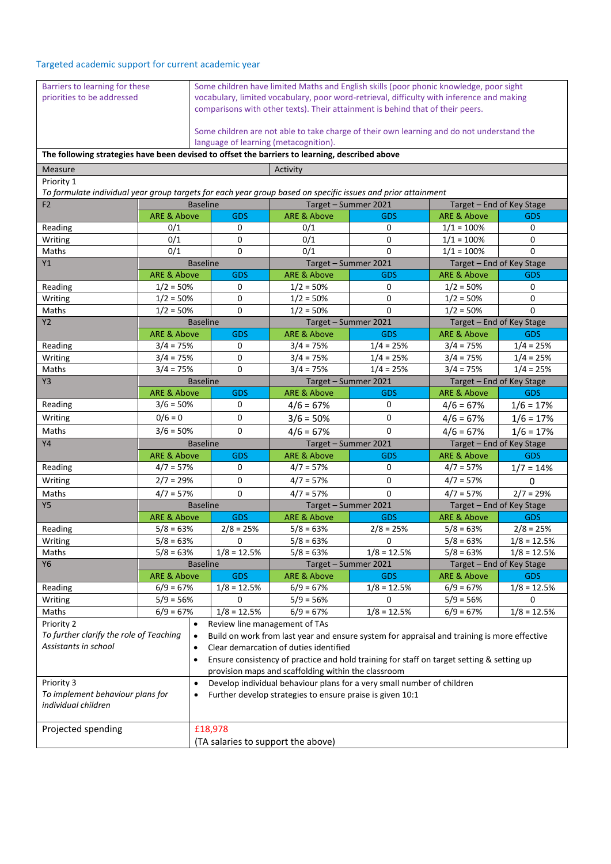## Targeted academic support for current academic year

| Barriers to learning for these<br>priorities to be addressed                                                 |                        |                 | Some children have limited Maths and English skills (poor phonic knowledge, poor sight<br>vocabulary, limited vocabulary, poor word-retrieval, difficulty with inference and making<br>comparisons with other texts). Their attainment is behind that of their peers.<br>Some children are not able to take charge of their own learning and do not understand the<br>language of learning (metacognition). |                                                                                             |               |                           |                           |
|--------------------------------------------------------------------------------------------------------------|------------------------|-----------------|-------------------------------------------------------------------------------------------------------------------------------------------------------------------------------------------------------------------------------------------------------------------------------------------------------------------------------------------------------------------------------------------------------------|---------------------------------------------------------------------------------------------|---------------|---------------------------|---------------------------|
| The following strategies have been devised to offset the barriers to learning, described above               |                        |                 |                                                                                                                                                                                                                                                                                                                                                                                                             |                                                                                             |               |                           |                           |
| <b>Measure</b>                                                                                               |                        |                 |                                                                                                                                                                                                                                                                                                                                                                                                             | Activity                                                                                    |               |                           |                           |
| Priority 1                                                                                                   |                        |                 |                                                                                                                                                                                                                                                                                                                                                                                                             |                                                                                             |               |                           |                           |
| To formulate individual year group targets for each year group based on specific issues and prior attainment |                        |                 |                                                                                                                                                                                                                                                                                                                                                                                                             |                                                                                             |               |                           |                           |
| F <sub>2</sub>                                                                                               |                        | <b>Baseline</b> |                                                                                                                                                                                                                                                                                                                                                                                                             | Target - Summer 2021                                                                        |               | Target - End of Key Stage |                           |
|                                                                                                              | <b>ARE &amp; Above</b> |                 | <b>GDS</b>                                                                                                                                                                                                                                                                                                                                                                                                  | <b>ARE &amp; Above</b>                                                                      | <b>GDS</b>    | <b>ARE &amp; Above</b>    | <b>GDS</b>                |
| Reading                                                                                                      | 0/1                    |                 | 0                                                                                                                                                                                                                                                                                                                                                                                                           | 0/1                                                                                         | 0             | $1/1 = 100\%$             | 0                         |
| Writing                                                                                                      | 0/1                    |                 | 0                                                                                                                                                                                                                                                                                                                                                                                                           | 0/1                                                                                         | 0             | $1/1 = 100\%$             | 0                         |
| Maths                                                                                                        | 0/1                    |                 | $\Omega$                                                                                                                                                                                                                                                                                                                                                                                                    | 0/1                                                                                         | $\Omega$      | $1/1 = 100%$              | 0                         |
| Y1                                                                                                           |                        | <b>Baseline</b> |                                                                                                                                                                                                                                                                                                                                                                                                             | Target - Summer 2021                                                                        |               |                           | Target - End of Key Stage |
|                                                                                                              | <b>ARE &amp; Above</b> |                 | <b>GDS</b>                                                                                                                                                                                                                                                                                                                                                                                                  | <b>ARE &amp; Above</b>                                                                      | <b>GDS</b>    | <b>ARE &amp; Above</b>    | <b>GDS</b>                |
| Reading                                                                                                      | $1/2 = 50%$            |                 | 0                                                                                                                                                                                                                                                                                                                                                                                                           | $1/2 = 50%$                                                                                 | 0             | $1/2 = 50%$               | 0                         |
| Writing                                                                                                      | $1/2 = 50%$            |                 | 0                                                                                                                                                                                                                                                                                                                                                                                                           | $1/2 = 50%$                                                                                 | $\mathbf 0$   | $1/2 = 50%$               | 0                         |
| Maths                                                                                                        | $1/2 = 50%$            |                 | 0                                                                                                                                                                                                                                                                                                                                                                                                           | $1/2 = 50%$                                                                                 | 0             | $1/2 = 50%$               | $\Omega$                  |
| Y2                                                                                                           |                        | <b>Baseline</b> |                                                                                                                                                                                                                                                                                                                                                                                                             | Target - Summer 2021                                                                        |               | Target - End of Key Stage |                           |
|                                                                                                              | <b>ARE &amp; Above</b> |                 | <b>GDS</b>                                                                                                                                                                                                                                                                                                                                                                                                  | <b>ARE &amp; Above</b>                                                                      | <b>GDS</b>    | <b>ARE &amp; Above</b>    | <b>GDS</b>                |
| Reading                                                                                                      | $3/4 = 75%$            |                 | 0                                                                                                                                                                                                                                                                                                                                                                                                           | $3/4 = 75%$                                                                                 | $1/4 = 25%$   | $3/4 = 75%$               | $1/4 = 25%$               |
| Writing                                                                                                      | $3/4 = 75%$            |                 | 0                                                                                                                                                                                                                                                                                                                                                                                                           | $3/4 = 75%$                                                                                 | $1/4 = 25%$   | $3/4 = 75%$               | $1/4 = 25%$               |
| Maths                                                                                                        | $3/4 = 75%$            |                 | $\Omega$                                                                                                                                                                                                                                                                                                                                                                                                    | $3/4 = 75%$                                                                                 | $1/4 = 25%$   | $3/4 = 75%$               | $1/4 = 25%$               |
| Y <sub>3</sub>                                                                                               |                        | <b>Baseline</b> |                                                                                                                                                                                                                                                                                                                                                                                                             | Target - Summer 2021                                                                        |               |                           | Target - End of Key Stage |
|                                                                                                              | <b>ARE &amp; Above</b> |                 | <b>GDS</b>                                                                                                                                                                                                                                                                                                                                                                                                  | <b>ARE &amp; Above</b>                                                                      | <b>GDS</b>    | <b>ARE &amp; Above</b>    | <b>GDS</b>                |
| Reading                                                                                                      |                        | $3/6 = 50%$     |                                                                                                                                                                                                                                                                                                                                                                                                             | $4/6 = 67%$                                                                                 | 0             | $4/6 = 67%$               | $1/6 = 17%$               |
| Writing                                                                                                      | $0/6 = 0$              |                 | 0                                                                                                                                                                                                                                                                                                                                                                                                           | $3/6 = 50%$                                                                                 | 0             | $4/6 = 67%$               | $1/6 = 17%$               |
| Maths                                                                                                        | $3/6 = 50%$            |                 | 0                                                                                                                                                                                                                                                                                                                                                                                                           | $4/6 = 67%$                                                                                 | $\Omega$      | $4/6 = 67%$               | $1/6 = 17%$               |
| Y4                                                                                                           | <b>Baseline</b>        |                 |                                                                                                                                                                                                                                                                                                                                                                                                             | Target - Summer 2021                                                                        |               |                           | Target - End of Key Stage |
|                                                                                                              | <b>ARE &amp; Above</b> |                 | <b>GDS</b>                                                                                                                                                                                                                                                                                                                                                                                                  | <b>ARE &amp; Above</b>                                                                      | <b>GDS</b>    | ARE & Above               | <b>GDS</b>                |
| Reading                                                                                                      | $4/7 = 57%$            |                 | 0                                                                                                                                                                                                                                                                                                                                                                                                           | $4/7 = 57%$                                                                                 | 0             | $4/7 = 57%$               | $1/7 = 14%$               |
| Writing                                                                                                      | $2/7 = 29%$            |                 | $\mathbf 0$                                                                                                                                                                                                                                                                                                                                                                                                 | $4/7 = 57%$                                                                                 | $\mathbf 0$   | $4/7 = 57%$               | 0                         |
| Maths                                                                                                        | $4/7 = 57%$            |                 | 0                                                                                                                                                                                                                                                                                                                                                                                                           | $4/7 = 57%$                                                                                 | $\Omega$      | $4/7 = 57%$               | $2/7 = 29%$               |
| <b>Y5</b>                                                                                                    |                        | <b>Baseline</b> |                                                                                                                                                                                                                                                                                                                                                                                                             | Target - Summer 2021                                                                        |               |                           | Target - End of Key Stage |
|                                                                                                              | <b>ARE &amp; Above</b> |                 | <b>GDS</b>                                                                                                                                                                                                                                                                                                                                                                                                  | <b>ARE &amp; Above</b>                                                                      | <b>GDS</b>    | ARE & Above               | <b>GDS</b>                |
| Reading                                                                                                      | $5/8 = 63%$            |                 | $2/8 = 25%$                                                                                                                                                                                                                                                                                                                                                                                                 | $5/8 = 63%$                                                                                 | $2/8 = 25%$   | $5/8 = 63%$               | $2/8 = 25%$               |
| Writing                                                                                                      | $5/8 = 63%$            |                 | 0                                                                                                                                                                                                                                                                                                                                                                                                           | $5/8 = 63%$                                                                                 | 0             | $5/8 = 63%$               | $1/8 = 12.5%$             |
| Maths                                                                                                        | $5/8 = 63%$            |                 | $1/8 = 12.5%$                                                                                                                                                                                                                                                                                                                                                                                               | $5/8 = 63%$                                                                                 | $1/8 = 12.5%$ | $5/8 = 63%$               | $1/8 = 12.5%$             |
| <b>Y6</b>                                                                                                    |                        | <b>Baseline</b> |                                                                                                                                                                                                                                                                                                                                                                                                             | Target - Summer 2021                                                                        |               |                           | Target – End of Key Stage |
|                                                                                                              | <b>ARE &amp; Above</b> |                 | <b>GDS</b>                                                                                                                                                                                                                                                                                                                                                                                                  | ARE & Above                                                                                 | <b>GDS</b>    | <b>ARE &amp; Above</b>    | <b>GDS</b>                |
| Reading                                                                                                      | $6/9 = 67%$            |                 | $1/8 = 12.5%$                                                                                                                                                                                                                                                                                                                                                                                               | $6/9 = 67%$                                                                                 | $1/8 = 12.5%$ | $6/9 = 67%$               | $1/8 = 12.5%$             |
| Writing                                                                                                      | $5/9 = 56%$            |                 | 0                                                                                                                                                                                                                                                                                                                                                                                                           | $5/9 = 56%$                                                                                 | 0             | $5/9 = 56%$               | 0                         |
| Maths                                                                                                        | $6/9 = 67%$            |                 | $1/8 = 12.5%$                                                                                                                                                                                                                                                                                                                                                                                               | $6/9 = 67%$                                                                                 | $1/8 = 12.5%$ | $6/9 = 67%$               | $1/8 = 12.5%$             |
| Priority 2                                                                                                   |                        | $\bullet$       |                                                                                                                                                                                                                                                                                                                                                                                                             | Review line management of TAs                                                               |               |                           |                           |
| To further clarify the role of Teaching                                                                      |                        | $\bullet$       |                                                                                                                                                                                                                                                                                                                                                                                                             | Build on work from last year and ensure system for appraisal and training is more effective |               |                           |                           |
| Assistants in school                                                                                         |                        | $\bullet$       |                                                                                                                                                                                                                                                                                                                                                                                                             | Clear demarcation of duties identified                                                      |               |                           |                           |
|                                                                                                              |                        | $\bullet$       |                                                                                                                                                                                                                                                                                                                                                                                                             | Ensure consistency of practice and hold training for staff on target setting & setting up   |               |                           |                           |
| provision maps and scaffolding within the classroom                                                          |                        |                 |                                                                                                                                                                                                                                                                                                                                                                                                             |                                                                                             |               |                           |                           |
| Priority 3                                                                                                   | $\bullet$              |                 | Develop individual behaviour plans for a very small number of children                                                                                                                                                                                                                                                                                                                                      |                                                                                             |               |                           |                           |
| To implement behaviour plans for                                                                             | $\bullet$              |                 | Further develop strategies to ensure praise is given 10:1                                                                                                                                                                                                                                                                                                                                                   |                                                                                             |               |                           |                           |
| individual children                                                                                          |                        |                 |                                                                                                                                                                                                                                                                                                                                                                                                             |                                                                                             |               |                           |                           |
|                                                                                                              |                        |                 |                                                                                                                                                                                                                                                                                                                                                                                                             |                                                                                             |               |                           |                           |
| Projected spending                                                                                           | £18,978                |                 |                                                                                                                                                                                                                                                                                                                                                                                                             |                                                                                             |               |                           |                           |
|                                                                                                              |                        |                 |                                                                                                                                                                                                                                                                                                                                                                                                             | (TA salaries to support the above)                                                          |               |                           |                           |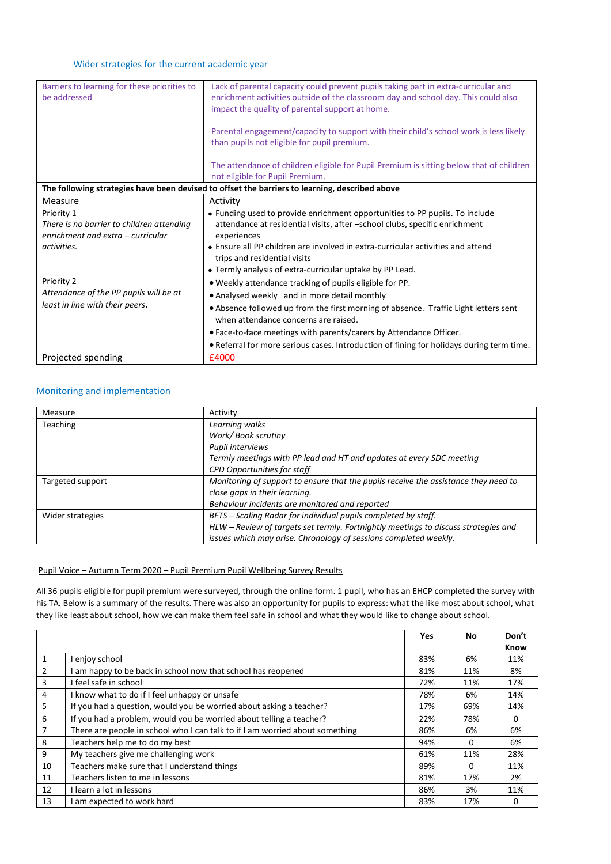| Barriers to learning for these priorities to<br>be addressed                                                | Lack of parental capacity could prevent pupils taking part in extra-curricular and<br>enrichment activities outside of the classroom day and school day. This could also<br>impact the quality of parental support at home.                                                                                                                                                                              |  |  |  |  |
|-------------------------------------------------------------------------------------------------------------|----------------------------------------------------------------------------------------------------------------------------------------------------------------------------------------------------------------------------------------------------------------------------------------------------------------------------------------------------------------------------------------------------------|--|--|--|--|
|                                                                                                             | Parental engagement/capacity to support with their child's school work is less likely<br>than pupils not eligible for pupil premium.                                                                                                                                                                                                                                                                     |  |  |  |  |
|                                                                                                             | The attendance of children eligible for Pupil Premium is sitting below that of children<br>not eligible for Pupil Premium.                                                                                                                                                                                                                                                                               |  |  |  |  |
|                                                                                                             | The following strategies have been devised to offset the barriers to learning, described above                                                                                                                                                                                                                                                                                                           |  |  |  |  |
| Measure                                                                                                     | Activity                                                                                                                                                                                                                                                                                                                                                                                                 |  |  |  |  |
| Priority 1<br>There is no barrier to children attending<br>enrichment and extra - curricular<br>activities. | • Funding used to provide enrichment opportunities to PP pupils. To include<br>attendance at residential visits, after -school clubs, specific enrichment<br>experiences<br>• Ensure all PP children are involved in extra-curricular activities and attend<br>trips and residential visits<br>• Termly analysis of extra-curricular uptake by PP Lead.                                                  |  |  |  |  |
| Priority 2<br>Attendance of the PP pupils will be at<br>least in line with their peers.                     | . Weekly attendance tracking of pupils eligible for PP.<br>• Analysed weekly and in more detail monthly<br>• Absence followed up from the first morning of absence. Traffic Light letters sent<br>when attendance concerns are raised.<br>• Face-to-face meetings with parents/carers by Attendance Officer.<br>. Referral for more serious cases. Introduction of fining for holidays during term time. |  |  |  |  |
| Projected spending                                                                                          | £4000                                                                                                                                                                                                                                                                                                                                                                                                    |  |  |  |  |

#### Monitoring and implementation

| Measure          | Activity                                                                            |
|------------------|-------------------------------------------------------------------------------------|
| <b>Teaching</b>  | Learning walks                                                                      |
|                  | Work/Book scrutiny                                                                  |
|                  | Pupil interviews                                                                    |
|                  | Termly meetings with PP lead and HT and updates at every SDC meeting                |
|                  | <b>CPD Opportunities for staff</b>                                                  |
| Targeted support | Monitoring of support to ensure that the pupils receive the assistance they need to |
|                  | close gaps in their learning.                                                       |
|                  | Behaviour incidents are monitored and reported                                      |
| Wider strategies | BFTS - Scaling Radar for individual pupils completed by staff.                      |
|                  | HLW - Review of targets set termly. Fortnightly meetings to discuss strategies and  |
|                  | issues which may arise. Chronology of sessions completed weekly.                    |

### Pupil Voice – Autumn Term 2020 – Pupil Premium Pupil Wellbeing Survey Results

All 36 pupils eligible for pupil premium were surveyed, through the online form. 1 pupil, who has an EHCP completed the survey with his TA. Below is a summary of the results. There was also an opportunity for pupils to express: what the like most about school, what they like least about school, how we can make them feel safe in school and what they would like to change about school.

|    |                                                                              | Yes | No       | Don't |
|----|------------------------------------------------------------------------------|-----|----------|-------|
|    |                                                                              |     |          | Know  |
| 1  | enjov school                                                                 | 83% | 6%       | 11%   |
| 2  | am happy to be back in school now that school has reopened                   | 81% | 11%      | 8%    |
| 3  | I feel safe in school                                                        | 72% | 11%      | 17%   |
| 4  | I know what to do if I feel unhappy or unsafe                                | 78% | 6%       | 14%   |
| 5  | If you had a question, would you be worried about asking a teacher?          | 17% | 69%      | 14%   |
| 6  | If you had a problem, would you be worried about telling a teacher?          | 22% | 78%      | 0     |
| 7  | There are people in school who I can talk to if I am worried about something | 86% | 6%       | 6%    |
| 8  | Teachers help me to do my best                                               | 94% | $\Omega$ | 6%    |
| 9  | My teachers give me challenging work                                         | 61% | 11%      | 28%   |
| 10 | Teachers make sure that I understand things                                  | 89% | $\Omega$ | 11%   |
| 11 | Teachers listen to me in lessons                                             | 81% | 17%      | 2%    |
| 12 | I learn a lot in lessons                                                     | 86% | 3%       | 11%   |
| 13 | am expected to work hard                                                     | 83% | 17%      | 0     |